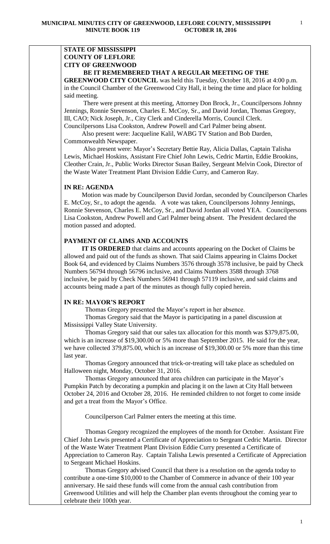# **STATE OF MISSISSIPPI COUNTY OF LEFLORE CITY OF GREENWOOD**

# **BE IT REMEMBERED THAT A REGULAR MEETING OF THE**

**GREENWOOD CITY COUNCIL** was held this Tuesday, October 18, 2016 at 4:00 p.m. in the Council Chamber of the Greenwood City Hall, it being the time and place for holding said meeting.

There were present at this meeting, Attorney Don Brock, Jr., Councilpersons Johnny Jennings, Ronnie Stevenson, Charles E. McCoy, Sr., and David Jordan, Thomas Gregory, III, CAO; Nick Joseph, Jr., City Clerk and Cinderella Morris, Council Clerk. Councilpersons Lisa Cookston, Andrew Powell and Carl Palmer being absent.

 Also present were: Jacqueline Kalil, WABG TV Station and Bob Darden, Commonwealth Newspaper.

 Also present were: Mayor's Secretary Bettie Ray, Alicia Dallas, Captain Talisha Lewis, Michael Hoskins, Assistant Fire Chief John Lewis, Cedric Martin, Eddie Brookins, Cleother Crain, Jr., Public Works Director Susan Bailey, Sergeant Melvin Cook, Director of the Waste Water Treatment Plant Division Eddie Curry, and Cameron Ray.

#### **IN RE: AGENDA**

 Motion was made by Councilperson David Jordan, seconded by Councilperson Charles E. McCoy, Sr., to adopt the agenda. A vote was taken, Councilpersons Johnny Jennings, Ronnie Stevenson, Charles E. McCoy, Sr., and David Jordan all voted YEA. Councilpersons Lisa Cookston, Andrew Powell and Carl Palmer being absent.The President declared the motion passed and adopted.

## **PAYMENT OF CLAIMS AND ACCOUNTS**

 **IT IS ORDERED** that claims and accounts appearing on the Docket of Claims be allowed and paid out of the funds as shown. That said Claims appearing in Claims Docket Book 64, and evidenced by Claims Numbers 3576 through 3578 inclusive, be paid by Check Numbers 56794 through 56796 inclusive, and Claims Numbers 3588 through 3768 inclusive, be paid by Check Numbers 56941 through 57119 inclusive, and said claims and accounts being made a part of the minutes as though fully copied herein.

## **IN RE: MAYOR'S REPORT**

Thomas Gregory presented the Mayor's report in her absence.

 Thomas Gregory said that the Mayor is participating in a panel discussion at Mississippi Valley State University.

 Thomas Gregory said that our sales tax allocation for this month was \$379,875.00, which is an increase of \$19,300.00 or 5% more than September 2015. He said for the year, we have collected 379,875.00, which is an increase of \$19,300.00 or 5% more than this time last year.

 Thomas Gregory announced that trick-or-treating will take place as scheduled on Halloween night, Monday, October 31, 2016.

 Thomas Gregory announced that area children can participate in the Mayor's Pumpkin Patch by decorating a pumpkin and placing it on the lawn at City Hall between October 24, 2016 and October 28, 2016. He reminded children to not forget to come inside and get a treat from the Mayor's Office.

Councilperson Carl Palmer enters the meeting at this time.

 Thomas Gregory recognized the employees of the month for October. Assistant Fire Chief John Lewis presented a Certificate of Appreciation to Sergeant Cedric Martin. Director of the Waste Water Treatment Plant Division Eddie Curry presented a Certificate of Appreciation to Cameron Ray. Captain Talisha Lewis presented a Certificate of Appreciation to Sergeant Michael Hoskins.

 Thomas Gregory advised Council that there is a resolution on the agenda today to contribute a one-time \$10,000 to the Chamber of Commerce in advance of their 100 year anniversary. He said these funds will come from the annual cash contribution from Greenwood Utilities and will help the Chamber plan events throughout the coming year to celebrate their 100th year.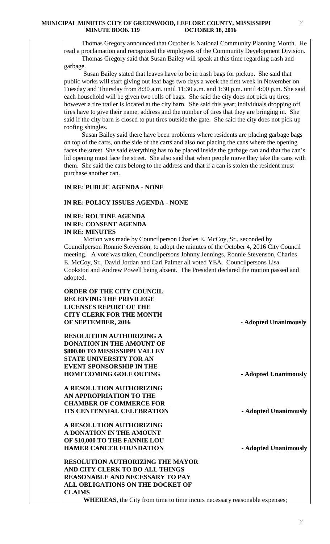Thomas Gregory announced that October is National Community Planning Month. He read a proclamation and recognized the employees of the Community Development Division. Thomas Gregory said that Susan Bailey will speak at this time regarding trash and garbage.

 Susan Bailey stated that leaves have to be in trash bags for pickup. She said that public works will start giving out leaf bags two days a week the first week in November on Tuesday and Thursday from 8:30 a.m. until 11:30 a.m. and 1:30 p.m. until 4:00 p.m. She said each household will be given two rolls of bags. She said the city does not pick up tires; however a tire trailer is located at the city barn. She said this year; individuals dropping off tires have to give their name, address and the number of tires that they are bringing in. She said if the city barn is closed to put tires outside the gate. She said the city does not pick up roofing shingles.

 Susan Bailey said there have been problems where residents are placing garbage bags on top of the carts, on the side of the carts and also not placing the cans where the opening faces the street. She said everything has to be placed inside the garbage can and that the can's lid opening must face the street. She also said that when people move they take the cans with them. She said the cans belong to the address and that if a can is stolen the resident must purchase another can.

**IN RE: PUBLIC AGENDA - NONE**

#### **IN RE: POLICY ISSUES AGENDA - NONE**

# **IN RE: ROUTINE AGENDA IN RE: CONSENT AGENDA IN RE: MINUTES**

 Motion was made by Councilperson Charles E. McCoy, Sr., seconded by Councilperson Ronnie Stevenson, to adopt the minutes of the October 4, 2016 City Council meeting. A vote was taken, Councilpersons Johnny Jennings, Ronnie Stevenson, Charles E. McCoy, Sr., David Jordan and Carl Palmer all voted YEA. Councilpersons Lisa Cookston and Andrew Powell being absent. The President declared the motion passed and adopted.

| <b>ORDER OF THE CITY COUNCIL</b>        |                       |
|-----------------------------------------|-----------------------|
| <b>RECEIVING THE PRIVILEGE</b>          |                       |
| <b>LICENSES REPORT OF THE</b>           |                       |
| <b>CITY CLERK FOR THE MONTH</b>         |                       |
| OF SEPTEMBER, 2016                      | - Adopted Unanimously |
| <b>RESOLUTION AUTHORIZING A</b>         |                       |
| <b>DONATION IN THE AMOUNT OF</b>        |                       |
| \$800.00 TO MISSISSIPPI VALLEY          |                       |
| <b>STATE UNIVERSITY FOR AN</b>          |                       |
| <b>EVENT SPONSORSHIP IN THE</b>         |                       |
|                                         |                       |
| <b>HOMECOMING GOLF OUTING</b>           | - Adopted Unanimously |
| <b>A RESOLUTION AUTHORIZING</b>         |                       |
| AN APPROPRIATION TO THE                 |                       |
| <b>CHAMBER OF COMMERCE FOR</b>          |                       |
| <b>ITS CENTENNIAL CELEBRATION</b>       | - Adopted Unanimously |
| <b>A RESOLUTION AUTHORIZING</b>         |                       |
| A DONATION IN THE AMOUNT                |                       |
| OF \$10,000 TO THE FANNIE LOU           |                       |
| <b>HAMER CANCER FOUNDATION</b>          |                       |
|                                         | - Adopted Unanimously |
| <b>RESOLUTION AUTHORIZING THE MAYOR</b> |                       |
| AND CITY CLERK TO DO ALL THINGS         |                       |
| <b>REASONABLE AND NECESSARY TO PAY</b>  |                       |
| <b>ALL OBLIGATIONS ON THE DOCKET OF</b> |                       |
| <b>CLAIMS</b>                           |                       |

**WHEREAS**, the City from time to time incurs necessary reasonable expenses;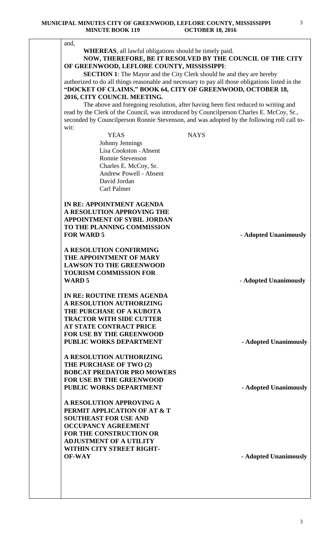and, **WHEREAS**, all lawful obligations should be timely paid. **NOW, THEREFORE, BE IT RESOLVED BY THE COUNCIL OF THE CITY OF GREENWOOD, LEFLORE COUNTY, MISSISSIPPI**: **SECTION 1**: The Mayor and the City Clerk should be and they are hereby authorized to do all things reasonable and necessary to pay all those obligations listed in the **"DOCKET OF CLAIMS," BOOK 64, CITY OF GREENWOOD, OCTOBER 18, 2016, CITY COUNCIL MEETING.** The above and foregoing resolution, after having been first reduced to writing and read by the Clerk of the Council, was introduced by Councilperson Charles E. McCoy, Sr., seconded by Councilperson Ronnie Stevenson, and was adopted by the following roll call towit: YEAS NAYS Johnny Jennings Lisa Cookston - Absent Ronnie Stevenson Charles E. McCoy, Sr. Andrew Powell - Absent David Jordan Carl Palmer **IN RE: APPOINTMENT AGENDA A RESOLUTION APPROVING THE APPOINTMENT OF SYBIL JORDAN TO THE PLANNING COMMISSION FOR WARD 5**  $\bullet$  **Adopted Unanimously A RESOLUTION CONFIRMING THE APPOINTMENT OF MARY LAWSON TO THE GREENWOOD TOURISM COMMISSION FOR WARD 5** - **Adopted Unanimously IN RE: ROUTINE ITEMS AGENDA A RESOLUTION AUTHORIZING THE PURCHASE OF A KUBOTA TRACTOR WITH SIDE CUTTER AT STATE CONTRACT PRICE FOR USE BY THE GREENWOOD PUBLIC WORKS DEPARTMENT** - **Adopted Unanimously A RESOLUTION AUTHORIZING THE PURCHASE OF TWO (2) BOBCAT PREDATOR PRO MOWERS FOR USE BY THE GREENWOOD PUBLIC WORKS DEPARTMENT** - **Adopted Unanimously A RESOLUTION APPROVING A PERMIT APPLICATION OF AT & T SOUTHEAST FOR USE AND OCCUPANCY AGREEMENT FOR THE CONSTRUCTION OR ADJUSTMENT OF A UTILITY WITHIN CITY STREET RIGHT-OF-WAY - Adopted Unanimously**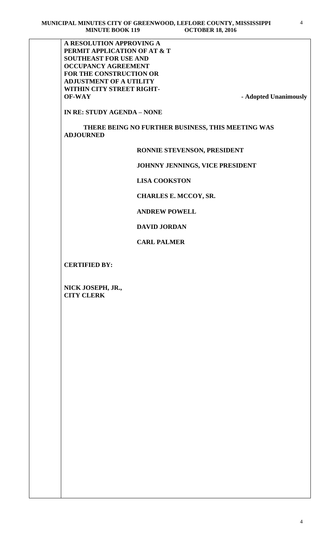**A RESOLUTION APPROVING A PERMIT APPLICATION OF AT & T SOUTHEAST FOR USE AND OCCUPANCY AGREEMENT FOR THE CONSTRUCTION OR ADJUSTMENT OF A UTILITY WITHIN CITY STREET RIGHT-OF-WAY - Adopted Unanimously**

**IN RE: STUDY AGENDA – NONE**

 **THERE BEING NO FURTHER BUSINESS, THIS MEETING WAS ADJOURNED** 

#### **RONNIE STEVENSON, PRESIDENT**

 **JOHNNY JENNINGS, VICE PRESIDENT**

 **LISA COOKSTON**

 **CHARLES E. MCCOY, SR.** 

 **ANDREW POWELL**

 **DAVID JORDAN**

 **CARL PALMER**

**CERTIFIED BY:**

**NICK JOSEPH, JR., CITY CLERK**